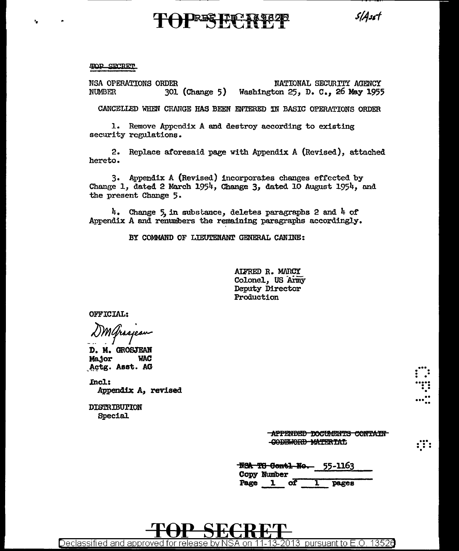$5/4$ sst

### TOP SECRET

NSA OPERATIONS ORDER NATIONAL SECURITY AGENCY **NUMBER** 301 (Change 5) Washington 25, D. C., 26 May 1955

CANCELLED WHEN CHANGE HAS BEEN ENTERED IN BASIC OPERATIONS ORDER

1. Remove Appendix A and destroy according to existing security regulations.

2. Replace aforesaid page with Appendix A (Revised), attached hereto.

3. Appendix A (Revised) incorporates changes effected by Change 1, dated 2 March 1954, Change 3, dated 10 August 1954, and the present Change 5.

4. Change 5, in substance, deletes paragraphs 2 and 4 of Appendix A and renumbers the remaining paragraphs accordingly.

BY COMMAND OF LIEUTENANT GENERAL CANINE:

ALFRED R. MARCY Colonel, US Army Deputy Director Production

OFFICIAL:

Maragean

D. M. GROSJEAN **Major WAC** Actg. Asst. AG

Incl: Appendix A, revised

DISTRIBUTION **Special** 

> -APPENDED DOCUMENTS CONTAIN CODEWORD MATERIAL

:":

|      |             |  | <b>N<del>SA TS Contl No.</del> 55-1163</b> |  |
|------|-------------|--|--------------------------------------------|--|
|      | Copy Number |  |                                            |  |
| Page |             |  | Dages                                      |  |